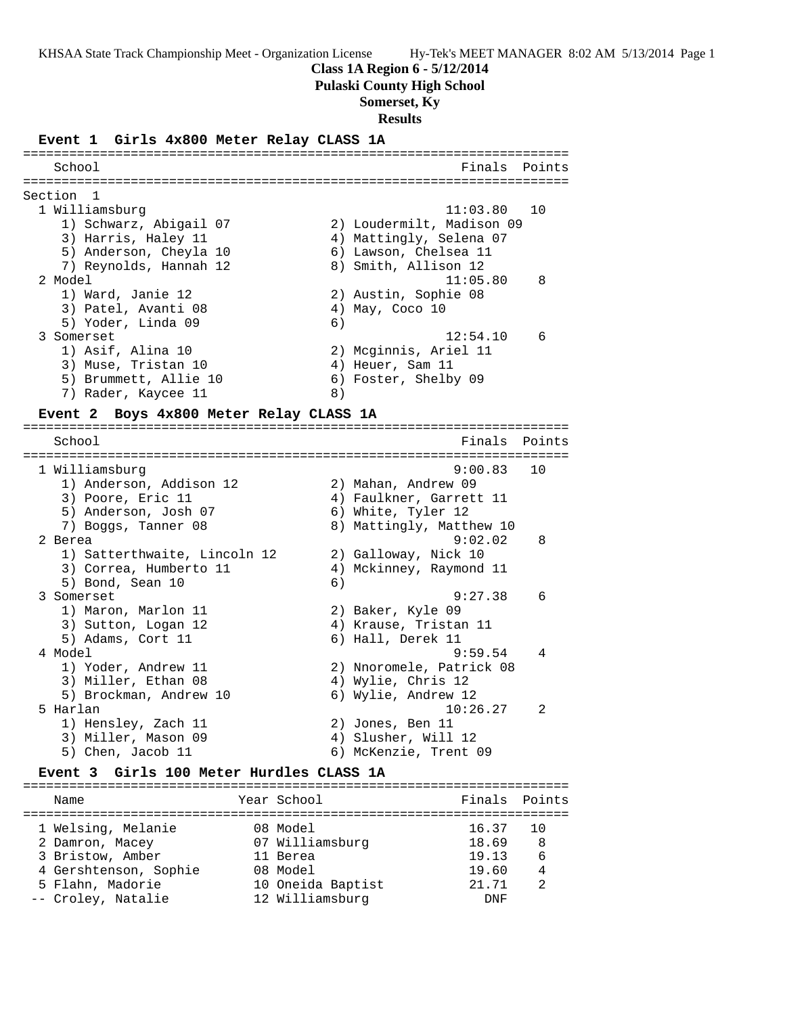**Class 1A Region 6 - 5/12/2014**

**Pulaski County High School**

## **Somerset, Ky**

**Results**

#### **Event 1 Girls 4x800 Meter Relay CLASS 1A**

======================================================================= School **Finals** Points **Points** ======================================================================= Section 1 1 Williamsburg 11:03.80 10 1) Schwarz, Abigail 07 2) Loudermilt, Madison 09 3) Harris, Haley 11 4) Mattingly, Selena 07 5) Anderson, Cheyla 10 6) Lawson, Chelsea 11 7) Reynolds, Hannah 12 8) Smith, Allison 12 2 Model 11:05.80 8 1) Ward, Janie 12 2) Austin, Sophie 08 3) Patel, Avanti 08 (4) May, Coco 10 5) Yoder, Linda 09 6) 3 Somerset 12:54.10 6 1) Asif, Alina 10 2) Mcginnis, Ariel 11 3) Muse, Tristan 10 (4) Heuer, Sam 11 5) Brummett, Allie 10 (6) Foster, Shelby 09 7) Rader, Kaycee 11 and 8)

=======================================================================

#### **Event 2 Boys 4x800 Meter Relay CLASS 1A**

School **Finals Points** ======================================================================= 1 Williamsburg 9:00.83 10 1) Anderson, Addison 12 2) Mahan, Andrew 09 3) Poore, Eric 11 4) Faulkner, Garrett 11 5) Anderson, Josh 07 (6) White, Tyler 12 7) Boggs, Tanner 08 8) Mattingly, Matthew 10 2 Berea 9:02.02 8 1) Satterthwaite, Lincoln 12 2) Galloway, Nick 10 3) Correa, Humberto 11 4) Mckinney, Raymond 11 5) Bond, Sean 10 6) 3 Somerset 9:27.38 6 1) Maron, Marlon 11 2) Baker, Kyle 09 3) Sutton, Logan 12 4) Krause, Tristan 11 5) Adams, Cort 11 6) Hall, Derek 11 4 Model 9:59.54 4 1) Yoder, Andrew 11 2) Nnoromele, Patrick 08 3) Miller, Ethan 08 4) Wylie, Chris 12 5) Brockman, Andrew 10 6) Wylie, Andrew 12 5 Harlan 10:26.27 2 1) Hensley, Zach 11 2) Jones, Ben 11 3) Miller, Mason 09 (4) Slusher, Will 12 5) Chen, Jacob 11 6) McKenzie, Trent 09

### **Event 3 Girls 100 Meter Hurdles CLASS 1A**

| Name                  | Year School       | Finals Points |     |
|-----------------------|-------------------|---------------|-----|
| 1 Welsing, Melanie    | 08 Model          | 16.37         | 1 O |
| 2 Damron, Macey       | 07 Williamsburg   | 18.69         | 8   |
| 3 Bristow, Amber      | 11 Berea          | 19.13         | 6   |
| 4 Gershtenson, Sophie | 08 Model          | 19.60         | 4   |
| 5 Flahn, Madorie      | 10 Oneida Baptist | 21.71         | 2   |
| -- Croley, Natalie    | 12 Williamsburg   | <b>DNF</b>    |     |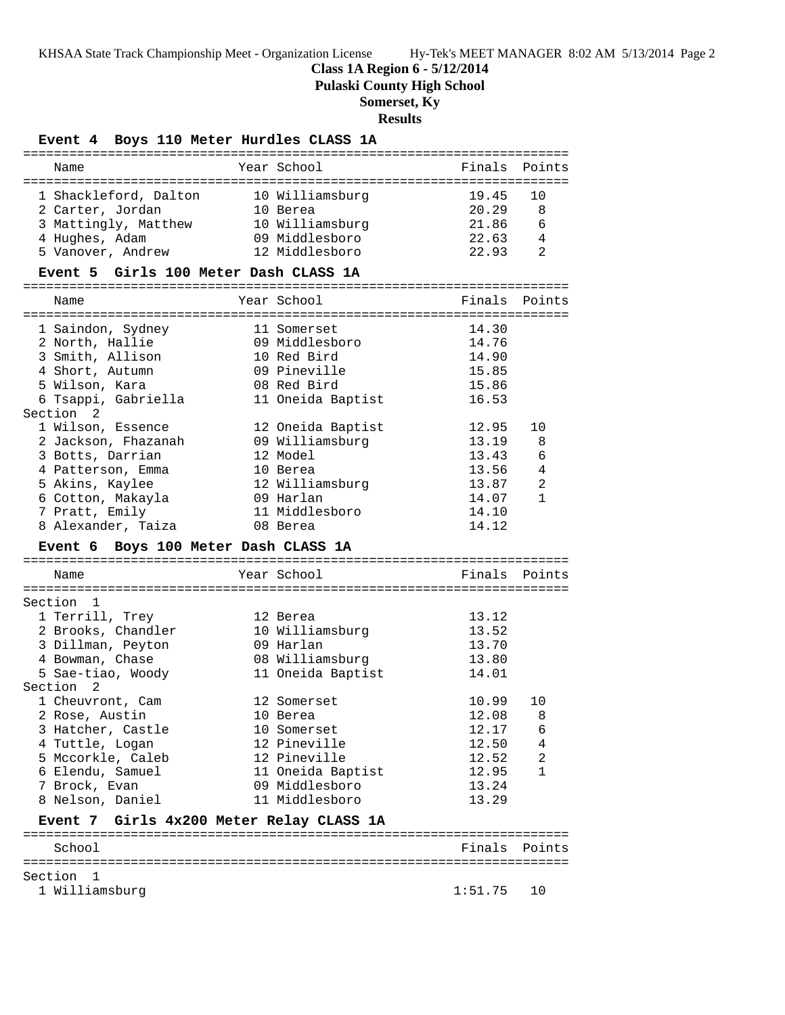**Class 1A Region 6 - 5/12/2014**

**Pulaski County High School**

## **Somerset, Ky**

## **Results**

## **Event 4 Boys 110 Meter Hurdles CLASS 1A**

| Year School<br>Finals<br>Points<br>Name<br>10 Williamsburg<br>19.45<br>1 Shackleford, Dalton<br>10<br>8<br>2 Carter, Jordan<br>20.29<br>10 Berea<br>21.86<br>3 Mattingly, Matthew<br>10 Williamsburg<br>6<br>22.63<br>4 Hughes, Adam<br>09 Middlesboro<br>4<br>12 Middlesboro<br>5 Vanover, Andrew<br>22.93<br>2<br>Event 5 Girls 100 Meter Dash CLASS 1A<br>Year School<br>Finals<br>Points<br>Name<br>14.30<br>1 Saindon, Sydney<br>11 Somerset<br>2 North, Hallie<br>09 Middlesboro<br>14.76<br>3 Smith, Allison<br>10 Red Bird<br>14.90<br>15.85<br>4 Short, Autumn<br>09 Pineville<br>5 Wilson, Kara<br>08 Red Bird<br>15.86<br>6 Tsappi, Gabriella<br>11 Oneida Baptist<br>16.53<br>Section <sub>2</sub><br>1 Wilson, Essence<br>12 Oneida Baptist<br>12.95<br>10<br>2 Jackson, Fhazanah<br>09 Williamsburg<br>13.19<br>8<br>3 Botts, Darrian<br>12 Model<br>13.43<br>6<br>4 Patterson, Emma<br>13.56<br>4<br>10 Berea<br>5 Akins, Kaylee<br>12 Williamsburg<br>13.87<br>2<br>6 Cotton, Makayla<br>09 Harlan<br>14.07<br>$\mathbf{1}$<br>7 Pratt, Emily<br>11 Middlesboro<br>14.10<br>8 Alexander, Taiza<br>14.12<br>08 Berea<br>Event 6 Boys 100 Meter Dash CLASS 1A<br>Year School<br>Finals<br>Name<br>Points<br>Section 1<br>1 Terrill, Trey<br>13.12<br>12 Berea<br>2 Brooks, Chandler<br>13.52<br>10 Williamsburg<br>3 Dillman, Peyton<br>09 Harlan<br>13.70<br>08 Williamsburg<br>4 Bowman, Chase<br>13.80<br>5 Sae-tiao, Woody<br>11 Oneida Baptist<br>14.01<br>Section 2<br>1 Cheuvront, Cam<br>12 Somerset<br>10.99<br>10<br>2 Rose, Austin<br>10 Berea<br>12.08<br>8<br>3 Hatcher, Castle<br>12.17<br>10 Somerset<br>6<br>12 Pineville<br>12.50<br>4 Tuttle, Logan<br>4<br>12 Pineville<br>12.52<br>2<br>5 Mccorkle, Caleb<br>$\mathbf{1}$<br>6 Elendu, Samuel<br>11 Oneida Baptist<br>12.95<br>7 Brock, Evan<br>09 Middlesboro<br>13.24<br>8 Nelson, Daniel<br>11 Middlesboro<br>13.29<br>Girls 4x200 Meter Relay CLASS 1A<br>Event 7<br>School<br>Finals<br>Points<br>Section<br>1<br>1 Williamsburg<br>1:51.75<br>10 |  |  |  |
|------------------------------------------------------------------------------------------------------------------------------------------------------------------------------------------------------------------------------------------------------------------------------------------------------------------------------------------------------------------------------------------------------------------------------------------------------------------------------------------------------------------------------------------------------------------------------------------------------------------------------------------------------------------------------------------------------------------------------------------------------------------------------------------------------------------------------------------------------------------------------------------------------------------------------------------------------------------------------------------------------------------------------------------------------------------------------------------------------------------------------------------------------------------------------------------------------------------------------------------------------------------------------------------------------------------------------------------------------------------------------------------------------------------------------------------------------------------------------------------------------------------------------------------------------------------------------------------------------------------------------------------------------------------------------------------------------------------------------------------------------------------------------------------------------------------------------------------------------------------------------------------------------------------------------------------------------------------------------------------------------------------------------------------|--|--|--|
|                                                                                                                                                                                                                                                                                                                                                                                                                                                                                                                                                                                                                                                                                                                                                                                                                                                                                                                                                                                                                                                                                                                                                                                                                                                                                                                                                                                                                                                                                                                                                                                                                                                                                                                                                                                                                                                                                                                                                                                                                                          |  |  |  |
|                                                                                                                                                                                                                                                                                                                                                                                                                                                                                                                                                                                                                                                                                                                                                                                                                                                                                                                                                                                                                                                                                                                                                                                                                                                                                                                                                                                                                                                                                                                                                                                                                                                                                                                                                                                                                                                                                                                                                                                                                                          |  |  |  |
|                                                                                                                                                                                                                                                                                                                                                                                                                                                                                                                                                                                                                                                                                                                                                                                                                                                                                                                                                                                                                                                                                                                                                                                                                                                                                                                                                                                                                                                                                                                                                                                                                                                                                                                                                                                                                                                                                                                                                                                                                                          |  |  |  |
|                                                                                                                                                                                                                                                                                                                                                                                                                                                                                                                                                                                                                                                                                                                                                                                                                                                                                                                                                                                                                                                                                                                                                                                                                                                                                                                                                                                                                                                                                                                                                                                                                                                                                                                                                                                                                                                                                                                                                                                                                                          |  |  |  |
|                                                                                                                                                                                                                                                                                                                                                                                                                                                                                                                                                                                                                                                                                                                                                                                                                                                                                                                                                                                                                                                                                                                                                                                                                                                                                                                                                                                                                                                                                                                                                                                                                                                                                                                                                                                                                                                                                                                                                                                                                                          |  |  |  |
|                                                                                                                                                                                                                                                                                                                                                                                                                                                                                                                                                                                                                                                                                                                                                                                                                                                                                                                                                                                                                                                                                                                                                                                                                                                                                                                                                                                                                                                                                                                                                                                                                                                                                                                                                                                                                                                                                                                                                                                                                                          |  |  |  |
|                                                                                                                                                                                                                                                                                                                                                                                                                                                                                                                                                                                                                                                                                                                                                                                                                                                                                                                                                                                                                                                                                                                                                                                                                                                                                                                                                                                                                                                                                                                                                                                                                                                                                                                                                                                                                                                                                                                                                                                                                                          |  |  |  |
|                                                                                                                                                                                                                                                                                                                                                                                                                                                                                                                                                                                                                                                                                                                                                                                                                                                                                                                                                                                                                                                                                                                                                                                                                                                                                                                                                                                                                                                                                                                                                                                                                                                                                                                                                                                                                                                                                                                                                                                                                                          |  |  |  |
|                                                                                                                                                                                                                                                                                                                                                                                                                                                                                                                                                                                                                                                                                                                                                                                                                                                                                                                                                                                                                                                                                                                                                                                                                                                                                                                                                                                                                                                                                                                                                                                                                                                                                                                                                                                                                                                                                                                                                                                                                                          |  |  |  |
|                                                                                                                                                                                                                                                                                                                                                                                                                                                                                                                                                                                                                                                                                                                                                                                                                                                                                                                                                                                                                                                                                                                                                                                                                                                                                                                                                                                                                                                                                                                                                                                                                                                                                                                                                                                                                                                                                                                                                                                                                                          |  |  |  |
|                                                                                                                                                                                                                                                                                                                                                                                                                                                                                                                                                                                                                                                                                                                                                                                                                                                                                                                                                                                                                                                                                                                                                                                                                                                                                                                                                                                                                                                                                                                                                                                                                                                                                                                                                                                                                                                                                                                                                                                                                                          |  |  |  |
|                                                                                                                                                                                                                                                                                                                                                                                                                                                                                                                                                                                                                                                                                                                                                                                                                                                                                                                                                                                                                                                                                                                                                                                                                                                                                                                                                                                                                                                                                                                                                                                                                                                                                                                                                                                                                                                                                                                                                                                                                                          |  |  |  |
|                                                                                                                                                                                                                                                                                                                                                                                                                                                                                                                                                                                                                                                                                                                                                                                                                                                                                                                                                                                                                                                                                                                                                                                                                                                                                                                                                                                                                                                                                                                                                                                                                                                                                                                                                                                                                                                                                                                                                                                                                                          |  |  |  |
|                                                                                                                                                                                                                                                                                                                                                                                                                                                                                                                                                                                                                                                                                                                                                                                                                                                                                                                                                                                                                                                                                                                                                                                                                                                                                                                                                                                                                                                                                                                                                                                                                                                                                                                                                                                                                                                                                                                                                                                                                                          |  |  |  |
|                                                                                                                                                                                                                                                                                                                                                                                                                                                                                                                                                                                                                                                                                                                                                                                                                                                                                                                                                                                                                                                                                                                                                                                                                                                                                                                                                                                                                                                                                                                                                                                                                                                                                                                                                                                                                                                                                                                                                                                                                                          |  |  |  |
|                                                                                                                                                                                                                                                                                                                                                                                                                                                                                                                                                                                                                                                                                                                                                                                                                                                                                                                                                                                                                                                                                                                                                                                                                                                                                                                                                                                                                                                                                                                                                                                                                                                                                                                                                                                                                                                                                                                                                                                                                                          |  |  |  |
|                                                                                                                                                                                                                                                                                                                                                                                                                                                                                                                                                                                                                                                                                                                                                                                                                                                                                                                                                                                                                                                                                                                                                                                                                                                                                                                                                                                                                                                                                                                                                                                                                                                                                                                                                                                                                                                                                                                                                                                                                                          |  |  |  |
|                                                                                                                                                                                                                                                                                                                                                                                                                                                                                                                                                                                                                                                                                                                                                                                                                                                                                                                                                                                                                                                                                                                                                                                                                                                                                                                                                                                                                                                                                                                                                                                                                                                                                                                                                                                                                                                                                                                                                                                                                                          |  |  |  |
|                                                                                                                                                                                                                                                                                                                                                                                                                                                                                                                                                                                                                                                                                                                                                                                                                                                                                                                                                                                                                                                                                                                                                                                                                                                                                                                                                                                                                                                                                                                                                                                                                                                                                                                                                                                                                                                                                                                                                                                                                                          |  |  |  |
|                                                                                                                                                                                                                                                                                                                                                                                                                                                                                                                                                                                                                                                                                                                                                                                                                                                                                                                                                                                                                                                                                                                                                                                                                                                                                                                                                                                                                                                                                                                                                                                                                                                                                                                                                                                                                                                                                                                                                                                                                                          |  |  |  |
|                                                                                                                                                                                                                                                                                                                                                                                                                                                                                                                                                                                                                                                                                                                                                                                                                                                                                                                                                                                                                                                                                                                                                                                                                                                                                                                                                                                                                                                                                                                                                                                                                                                                                                                                                                                                                                                                                                                                                                                                                                          |  |  |  |
|                                                                                                                                                                                                                                                                                                                                                                                                                                                                                                                                                                                                                                                                                                                                                                                                                                                                                                                                                                                                                                                                                                                                                                                                                                                                                                                                                                                                                                                                                                                                                                                                                                                                                                                                                                                                                                                                                                                                                                                                                                          |  |  |  |
|                                                                                                                                                                                                                                                                                                                                                                                                                                                                                                                                                                                                                                                                                                                                                                                                                                                                                                                                                                                                                                                                                                                                                                                                                                                                                                                                                                                                                                                                                                                                                                                                                                                                                                                                                                                                                                                                                                                                                                                                                                          |  |  |  |
|                                                                                                                                                                                                                                                                                                                                                                                                                                                                                                                                                                                                                                                                                                                                                                                                                                                                                                                                                                                                                                                                                                                                                                                                                                                                                                                                                                                                                                                                                                                                                                                                                                                                                                                                                                                                                                                                                                                                                                                                                                          |  |  |  |
|                                                                                                                                                                                                                                                                                                                                                                                                                                                                                                                                                                                                                                                                                                                                                                                                                                                                                                                                                                                                                                                                                                                                                                                                                                                                                                                                                                                                                                                                                                                                                                                                                                                                                                                                                                                                                                                                                                                                                                                                                                          |  |  |  |
|                                                                                                                                                                                                                                                                                                                                                                                                                                                                                                                                                                                                                                                                                                                                                                                                                                                                                                                                                                                                                                                                                                                                                                                                                                                                                                                                                                                                                                                                                                                                                                                                                                                                                                                                                                                                                                                                                                                                                                                                                                          |  |  |  |
|                                                                                                                                                                                                                                                                                                                                                                                                                                                                                                                                                                                                                                                                                                                                                                                                                                                                                                                                                                                                                                                                                                                                                                                                                                                                                                                                                                                                                                                                                                                                                                                                                                                                                                                                                                                                                                                                                                                                                                                                                                          |  |  |  |
|                                                                                                                                                                                                                                                                                                                                                                                                                                                                                                                                                                                                                                                                                                                                                                                                                                                                                                                                                                                                                                                                                                                                                                                                                                                                                                                                                                                                                                                                                                                                                                                                                                                                                                                                                                                                                                                                                                                                                                                                                                          |  |  |  |
|                                                                                                                                                                                                                                                                                                                                                                                                                                                                                                                                                                                                                                                                                                                                                                                                                                                                                                                                                                                                                                                                                                                                                                                                                                                                                                                                                                                                                                                                                                                                                                                                                                                                                                                                                                                                                                                                                                                                                                                                                                          |  |  |  |
|                                                                                                                                                                                                                                                                                                                                                                                                                                                                                                                                                                                                                                                                                                                                                                                                                                                                                                                                                                                                                                                                                                                                                                                                                                                                                                                                                                                                                                                                                                                                                                                                                                                                                                                                                                                                                                                                                                                                                                                                                                          |  |  |  |
|                                                                                                                                                                                                                                                                                                                                                                                                                                                                                                                                                                                                                                                                                                                                                                                                                                                                                                                                                                                                                                                                                                                                                                                                                                                                                                                                                                                                                                                                                                                                                                                                                                                                                                                                                                                                                                                                                                                                                                                                                                          |  |  |  |
|                                                                                                                                                                                                                                                                                                                                                                                                                                                                                                                                                                                                                                                                                                                                                                                                                                                                                                                                                                                                                                                                                                                                                                                                                                                                                                                                                                                                                                                                                                                                                                                                                                                                                                                                                                                                                                                                                                                                                                                                                                          |  |  |  |
|                                                                                                                                                                                                                                                                                                                                                                                                                                                                                                                                                                                                                                                                                                                                                                                                                                                                                                                                                                                                                                                                                                                                                                                                                                                                                                                                                                                                                                                                                                                                                                                                                                                                                                                                                                                                                                                                                                                                                                                                                                          |  |  |  |
|                                                                                                                                                                                                                                                                                                                                                                                                                                                                                                                                                                                                                                                                                                                                                                                                                                                                                                                                                                                                                                                                                                                                                                                                                                                                                                                                                                                                                                                                                                                                                                                                                                                                                                                                                                                                                                                                                                                                                                                                                                          |  |  |  |
|                                                                                                                                                                                                                                                                                                                                                                                                                                                                                                                                                                                                                                                                                                                                                                                                                                                                                                                                                                                                                                                                                                                                                                                                                                                                                                                                                                                                                                                                                                                                                                                                                                                                                                                                                                                                                                                                                                                                                                                                                                          |  |  |  |
|                                                                                                                                                                                                                                                                                                                                                                                                                                                                                                                                                                                                                                                                                                                                                                                                                                                                                                                                                                                                                                                                                                                                                                                                                                                                                                                                                                                                                                                                                                                                                                                                                                                                                                                                                                                                                                                                                                                                                                                                                                          |  |  |  |
|                                                                                                                                                                                                                                                                                                                                                                                                                                                                                                                                                                                                                                                                                                                                                                                                                                                                                                                                                                                                                                                                                                                                                                                                                                                                                                                                                                                                                                                                                                                                                                                                                                                                                                                                                                                                                                                                                                                                                                                                                                          |  |  |  |
|                                                                                                                                                                                                                                                                                                                                                                                                                                                                                                                                                                                                                                                                                                                                                                                                                                                                                                                                                                                                                                                                                                                                                                                                                                                                                                                                                                                                                                                                                                                                                                                                                                                                                                                                                                                                                                                                                                                                                                                                                                          |  |  |  |
|                                                                                                                                                                                                                                                                                                                                                                                                                                                                                                                                                                                                                                                                                                                                                                                                                                                                                                                                                                                                                                                                                                                                                                                                                                                                                                                                                                                                                                                                                                                                                                                                                                                                                                                                                                                                                                                                                                                                                                                                                                          |  |  |  |
|                                                                                                                                                                                                                                                                                                                                                                                                                                                                                                                                                                                                                                                                                                                                                                                                                                                                                                                                                                                                                                                                                                                                                                                                                                                                                                                                                                                                                                                                                                                                                                                                                                                                                                                                                                                                                                                                                                                                                                                                                                          |  |  |  |
|                                                                                                                                                                                                                                                                                                                                                                                                                                                                                                                                                                                                                                                                                                                                                                                                                                                                                                                                                                                                                                                                                                                                                                                                                                                                                                                                                                                                                                                                                                                                                                                                                                                                                                                                                                                                                                                                                                                                                                                                                                          |  |  |  |
|                                                                                                                                                                                                                                                                                                                                                                                                                                                                                                                                                                                                                                                                                                                                                                                                                                                                                                                                                                                                                                                                                                                                                                                                                                                                                                                                                                                                                                                                                                                                                                                                                                                                                                                                                                                                                                                                                                                                                                                                                                          |  |  |  |
|                                                                                                                                                                                                                                                                                                                                                                                                                                                                                                                                                                                                                                                                                                                                                                                                                                                                                                                                                                                                                                                                                                                                                                                                                                                                                                                                                                                                                                                                                                                                                                                                                                                                                                                                                                                                                                                                                                                                                                                                                                          |  |  |  |
|                                                                                                                                                                                                                                                                                                                                                                                                                                                                                                                                                                                                                                                                                                                                                                                                                                                                                                                                                                                                                                                                                                                                                                                                                                                                                                                                                                                                                                                                                                                                                                                                                                                                                                                                                                                                                                                                                                                                                                                                                                          |  |  |  |
|                                                                                                                                                                                                                                                                                                                                                                                                                                                                                                                                                                                                                                                                                                                                                                                                                                                                                                                                                                                                                                                                                                                                                                                                                                                                                                                                                                                                                                                                                                                                                                                                                                                                                                                                                                                                                                                                                                                                                                                                                                          |  |  |  |
|                                                                                                                                                                                                                                                                                                                                                                                                                                                                                                                                                                                                                                                                                                                                                                                                                                                                                                                                                                                                                                                                                                                                                                                                                                                                                                                                                                                                                                                                                                                                                                                                                                                                                                                                                                                                                                                                                                                                                                                                                                          |  |  |  |
|                                                                                                                                                                                                                                                                                                                                                                                                                                                                                                                                                                                                                                                                                                                                                                                                                                                                                                                                                                                                                                                                                                                                                                                                                                                                                                                                                                                                                                                                                                                                                                                                                                                                                                                                                                                                                                                                                                                                                                                                                                          |  |  |  |
|                                                                                                                                                                                                                                                                                                                                                                                                                                                                                                                                                                                                                                                                                                                                                                                                                                                                                                                                                                                                                                                                                                                                                                                                                                                                                                                                                                                                                                                                                                                                                                                                                                                                                                                                                                                                                                                                                                                                                                                                                                          |  |  |  |
|                                                                                                                                                                                                                                                                                                                                                                                                                                                                                                                                                                                                                                                                                                                                                                                                                                                                                                                                                                                                                                                                                                                                                                                                                                                                                                                                                                                                                                                                                                                                                                                                                                                                                                                                                                                                                                                                                                                                                                                                                                          |  |  |  |
|                                                                                                                                                                                                                                                                                                                                                                                                                                                                                                                                                                                                                                                                                                                                                                                                                                                                                                                                                                                                                                                                                                                                                                                                                                                                                                                                                                                                                                                                                                                                                                                                                                                                                                                                                                                                                                                                                                                                                                                                                                          |  |  |  |
|                                                                                                                                                                                                                                                                                                                                                                                                                                                                                                                                                                                                                                                                                                                                                                                                                                                                                                                                                                                                                                                                                                                                                                                                                                                                                                                                                                                                                                                                                                                                                                                                                                                                                                                                                                                                                                                                                                                                                                                                                                          |  |  |  |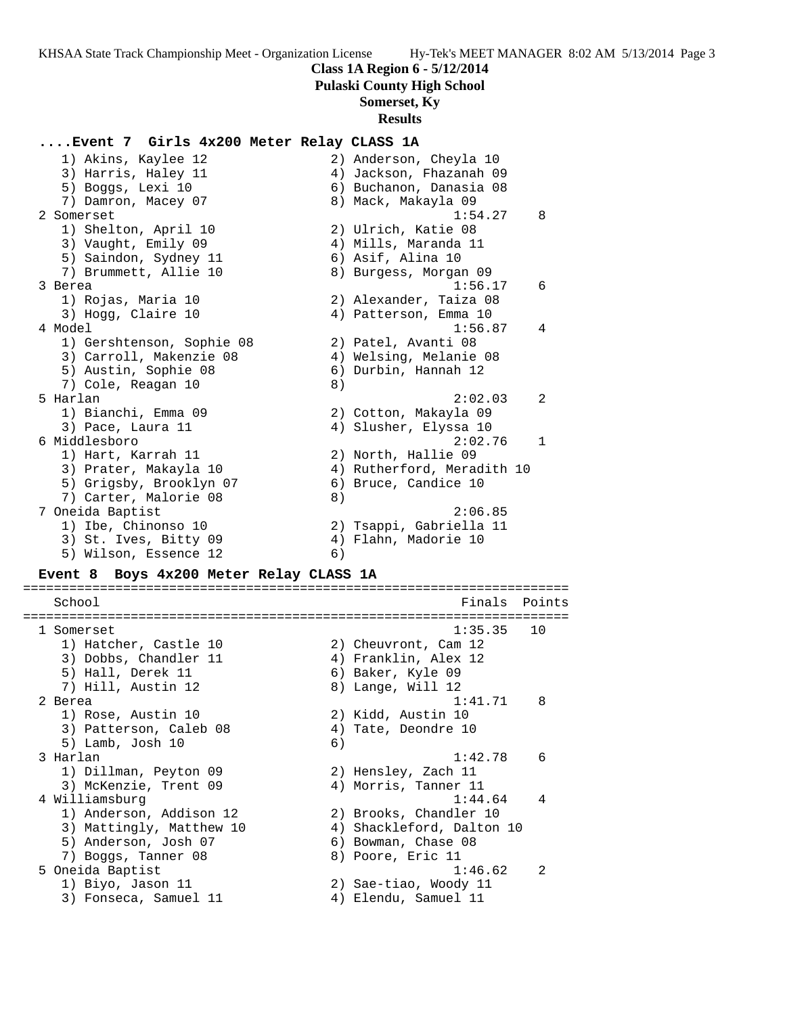#### **Class 1A Region 6 - 5/12/2014**

**Pulaski County High School**

## **Somerset, Ky**

#### **Results**

### **....Event 7 Girls 4x200 Meter Relay CLASS 1A**

| 1) Akins, Kaylee 12                                                                | 2) Anderson, Cheyla 10     |
|------------------------------------------------------------------------------------|----------------------------|
| 3) Harris, Haley 11                                                                | 4) Jackson, Fhazanah 09    |
| 5) Boggs, Lexi 10                                                                  | 6) Buchanon, Danasia 08    |
| 7) Damron, Macey 07                                                                | 8) Mack, Makayla 09        |
| 2 Somerset                                                                         | 1:54.27<br>8               |
| 1) Shelton, April 10                                                               | 2) Ulrich, Katie 08        |
| 3) Vaught, Emily 09                                                                | 4) Mills, Maranda 11       |
| 5) Saindon, Sydney 11                                                              | 6) Asif, Alina 10          |
| 7) Brummett, Allie 10                                                              | 8) Burgess, Morgan 09      |
| 3 Berea                                                                            | 1:56.17<br>6               |
| 1) Rojas, Maria 10                                                                 | 2) Alexander, Taiza 08     |
| 3) Hogg, Claire 10                                                                 | 4) Patterson, Emma 10      |
| 4 Model                                                                            | 1:56.87<br>4               |
| 1) Gershtenson, Sophie 08                                                          | 2) Patel, Avanti 08        |
| 3) Carroll, Makenzie 08                                                            | 4) Welsing, Melanie 08     |
| 5) Austin, Sophie 08                                                               | 6) Durbin, Hannah 12       |
| 7) Cole, Reagan 10                                                                 | 8)                         |
| 5 Harlan                                                                           | 2:02.03<br>$\overline{2}$  |
| 1) Bianchi, Emma 09                                                                | 2) Cotton, Makayla 09      |
| 3) Pace, Laura 11                                                                  | 4) Slusher, Elyssa 10      |
| 6 Middlesboro                                                                      | 2:02.76<br>$\mathbf{1}$    |
| 1) Hart, Karrah 11                                                                 | 2) North, Hallie 09        |
| 3) Prater, Makayla 10                                                              | 4) Rutherford, Meradith 10 |
| 5) Grigsby, Brooklyn 07                                                            | 6) Bruce, Candice 10       |
| 7) Carter, Malorie 08                                                              | 8)                         |
| 7 Oneida Baptist                                                                   | 2:06.85                    |
| 1) Ibe, Chinonso 10                                                                | 2) Tsappi, Gabriella 11    |
| 3) St. Ives, Bitty 09                                                              | 4) Flahn, Madorie 10       |
| 5) Wilson, Essence 12                                                              | 6)                         |
| $Further$ $R$ $R$ $NZ$ $A$ $Y$ $0$ $0$ $M$ $A$ $A$ $Y$ $R$ $1$ $3$ $5$ $6$ $1$ $3$ |                            |

#### **Event 8 Boys 4x200 Meter Relay CLASS 1A**

======================================================================= School **Finals** Points ======================================================================= 1 Somerset 1:35.35 10 1) Hatcher, Castle 10 2) Cheuvront, Cam 12 3) Dobbs, Chandler 11 (4) Franklin, Alex 12 5) Hall, Derek 11 (6) Baker, Kyle 09 7) Hill, Austin 12 8) Lange, Will 12 2 Berea 1:41.71 8 1) Rose, Austin 10 2) Kidd, Austin 10 3) Patterson, Caleb 08 4) Tate, Deondre 10 5) Lamb, Josh 10 6) 3 Harlan 1:42.78 6 1) Dillman, Peyton 09 2) Hensley, Zach 11 3) McKenzie, Trent 09 (4) Morris, Tanner 11 4 Williamsburg 1:44.64 4 1) Anderson, Addison 12 2) Brooks, Chandler 10 3) Mattingly, Matthew 10 4) Shackleford, Dalton 10 5) Anderson, Josh 07 (6) Bowman, Chase 08 7) Boggs, Tanner 08 8) Poore, Eric 11 5 Oneida Baptist 1:46.62 2 1) Biyo, Jason 11 2) Sae-tiao, Woody 11 3) Fonseca, Samuel 11  $\qquad \qquad \qquad$  4) Elendu, Samuel 11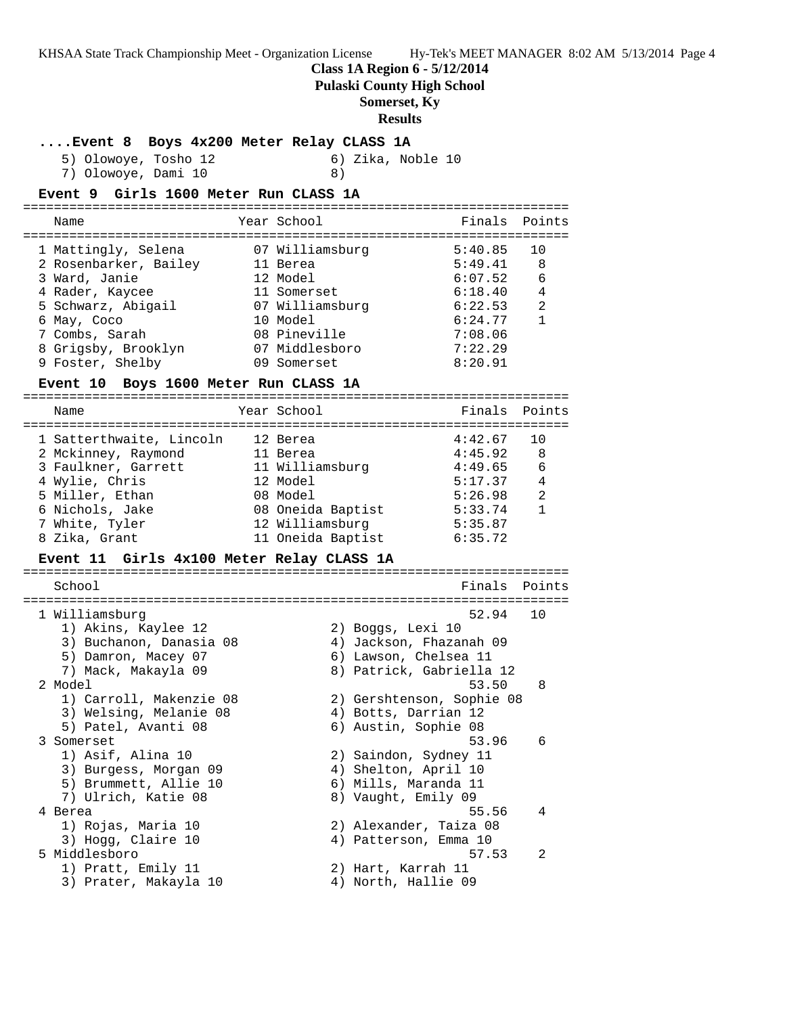**Class 1A Region 6 - 5/12/2014**

**Pulaski County High School**

**Somerset, Ky**

### **Results**

### **....Event 8 Boys 4x200 Meter Relay CLASS 1A**

5) Olowoye, Tosho 12 6) Zika, Noble 10 7) Olowoye, Dami 10 8)

# **Event 9 Girls 1600 Meter Run CLASS 1A**

| Name                  | Year School     | Finals Points |    |
|-----------------------|-----------------|---------------|----|
| 1 Mattingly, Selena   | 07 Williamsburg | 5:40.85       | 10 |
| 2 Rosenbarker, Bailey | 11 Berea        | 5:49.41       | 8  |
| 3 Ward, Janie         | 12 Model        | 6:07.52       | 6  |
| 4 Rader, Kaycee       | 11 Somerset     | 6:18.40       | 4  |
| 5 Schwarz, Abigail    | 07 Williamsburg | 6:22.53       | 2  |
| 6 May, Coco           | 10 Model        | 6:24.77       |    |
| 7 Combs, Sarah        | 08 Pineville    | 7:08.06       |    |
| 8 Grigsby, Brooklyn   | 07 Middlesboro  | 7:22.29       |    |
| 9 Foster, Shelby      | 09 Somerset     | 8:20.91       |    |
|                       |                 |               |    |

#### **Event 10 Boys 1600 Meter Run CLASS 1A**

| Name                     | Year School       | Finals Points |                |
|--------------------------|-------------------|---------------|----------------|
| 1 Satterthwaite, Lincoln | 12 Berea          | 4:42.67       | 10             |
| 2 Mckinney, Raymond      | 11 Berea          | 4:45.92       | -8             |
| 3 Faulkner, Garrett      | 11 Williamsburg   | 4:49.65       | 6              |
| 4 Wylie, Chris           | 12 Model          | 5:17.37       | $\overline{4}$ |
| 5 Miller, Ethan          | 08 Model          | 5:26.98       | 2              |
| 6 Nichols, Jake          | 08 Oneida Baptist | 5:33.74       | 1              |
| 7 White, Tyler           | 12 Williamsburg   | 5:35.87       |                |
| 8 Zika, Grant            | 11 Oneida Baptist | 6:35.72       |                |
|                          |                   |               |                |

### **Event 11 Girls 4x100 Meter Relay CLASS 1A**

| School                  | Finals Points             |               |
|-------------------------|---------------------------|---------------|
|                         |                           |               |
| 1 Williamsburg          | 52.94                     | 1 O           |
| 1) Akins, Kaylee 12     | 2) Boggs, Lexi 10         |               |
| 3) Buchanon, Danasia 08 | 4) Jackson, Fhazanah 09   |               |
| 5) Damron, Macey 07     | 6) Lawson, Chelsea 11     |               |
| 7) Mack, Makayla 09     | 8) Patrick, Gabriella 12  |               |
| 2 Model                 | 53.50                     | 8             |
| 1) Carroll, Makenzie 08 | 2) Gershtenson, Sophie 08 |               |
| 3) Welsing, Melanie 08  | 4) Botts, Darrian 12      |               |
| 5) Patel, Avanti 08     | 6) Austin, Sophie 08      |               |
| 3 Somerset              | 53.96                     | 6             |
| 1) Asif, Alina 10       | 2) Saindon, Sydney 11     |               |
| 3) Burgess, Morgan 09   | 4) Shelton, April 10      |               |
| 5) Brummett, Allie 10   | 6) Mills, Maranda 11      |               |
| 7) Ulrich, Katie 08     | 8) Vaught, Emily 09       |               |
| 4 Berea                 | 55.56                     | 4             |
| 1) Rojas, Maria 10      | 2) Alexander, Taiza 08    |               |
|                         |                           |               |
| 3) Hogg, Claire 10      | 4) Patterson, Emma 10     |               |
| 5 Middlesboro           | 57.53                     | $\mathcal{L}$ |
| 1) Pratt, Emily 11      | 2) Hart, Karrah 11        |               |
| 3) Prater, Makayla 10   | 4) North, Hallie 09       |               |
|                         |                           |               |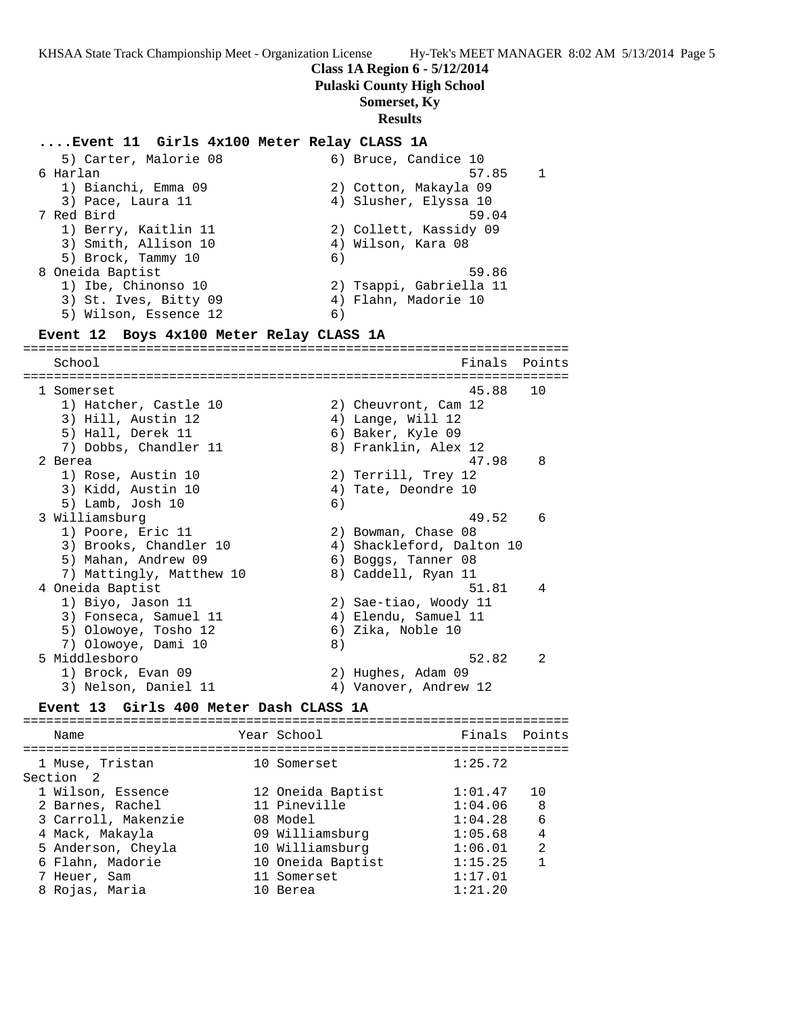### **Class 1A Region 6 - 5/12/2014**

**Pulaski County High School**

## **Somerset, Ky**

#### **Results**

## **....Event 11 Girls 4x100 Meter Relay CLASS 1A**

5) Carter, Malorie 08 6) Bruce, Candice 10 6 Harlan 57.85 1 1) Bianchi, Emma 09 2) Cotton, Makayla 09 3) Pace, Laura 11 4) Slusher, Elyssa 10 7 Red Bird 59.04 1) Berry, Kaitlin 11 2) Collett, Kassidy 09 3) Smith, Allison 10 4) Wilson, Kara 08 5) Brock, Tammy 10 6) 8 Oneida Baptist 59.86 1) Ibe, Chinonso 10 2) Tsappi, Gabriella 11 3) St. Ives, Bitty 09 (4) Flahn, Madorie 10 5) Wilson, Essence 12 (6)

#### **Event 12 Boys 4x100 Meter Relay CLASS 1A**

======================================================================= School **Finals Points** ======================================================================= 1 Somerset 45.88 10 1) Hatcher, Castle 10 2) Cheuvront, Cam 12 3) Hill, Austin 12 (4) Lange, Will 12 5) Hall, Derek 11 6) Baker, Kyle 09 7) Dobbs, Chandler 11 and 8) Franklin, Alex 12 2 Berea 47.98 8 1) Rose, Austin 10 2) Terrill, Trey 12 3) Kidd, Austin 10 (4) Tate, Deondre 10 5) Lamb, Josh 10 6) 3 Williamsburg 49.52 6 1) Poore, Eric 11 2) Bowman, Chase 08 3) Brooks, Chandler 10 4) Shackleford, Dalton 10 5) Mahan, Andrew 09 6) Boggs, Tanner 08 7) Mattingly, Matthew 10  $\qquad \qquad 8)$  Caddell, Ryan 11 4 Oneida Baptist 51.81 4 1) Biyo, Jason 11 2) Sae-tiao, Woody 11 3) Fonseca, Samuel 11 (4) Elendu, Samuel 11 5) Olowoye, Tosho 12 (6) Zika, Noble 10 7) Olowoye, Dami 10 8) 5 Middlesboro 52.82 2 1) Brock, Evan 09 2) Hughes, Adam 09 3) Nelson, Daniel 11 4) Vanover, Andrew 12

#### **Event 13 Girls 400 Meter Dash CLASS 1A**

======================================================================= Name The Year School The Finals Points ======================================================================= 1 Muse, Tristan 10 Somerset 1:25.72<br>Section 2 Section 2 1 Wilson, Essence 12 Oneida Baptist 1:01.47 10 2 Barnes, Rachel 11 Pineville 1:04.06 8 3 Carroll, Makenzie 08 Model 1:04.28 6 4 Mack, Makayla 09 Williamsburg 1:05.68 4 5 Anderson, Cheyla 10 Williamsburg 1:06.01 2 6 Flahn, Madorie 10 Oneida Baptist 1:15.25 1 7 Heuer, Sam 11 Somerset 1:17.01 8 Rojas, Maria 10 Berea 1:21.20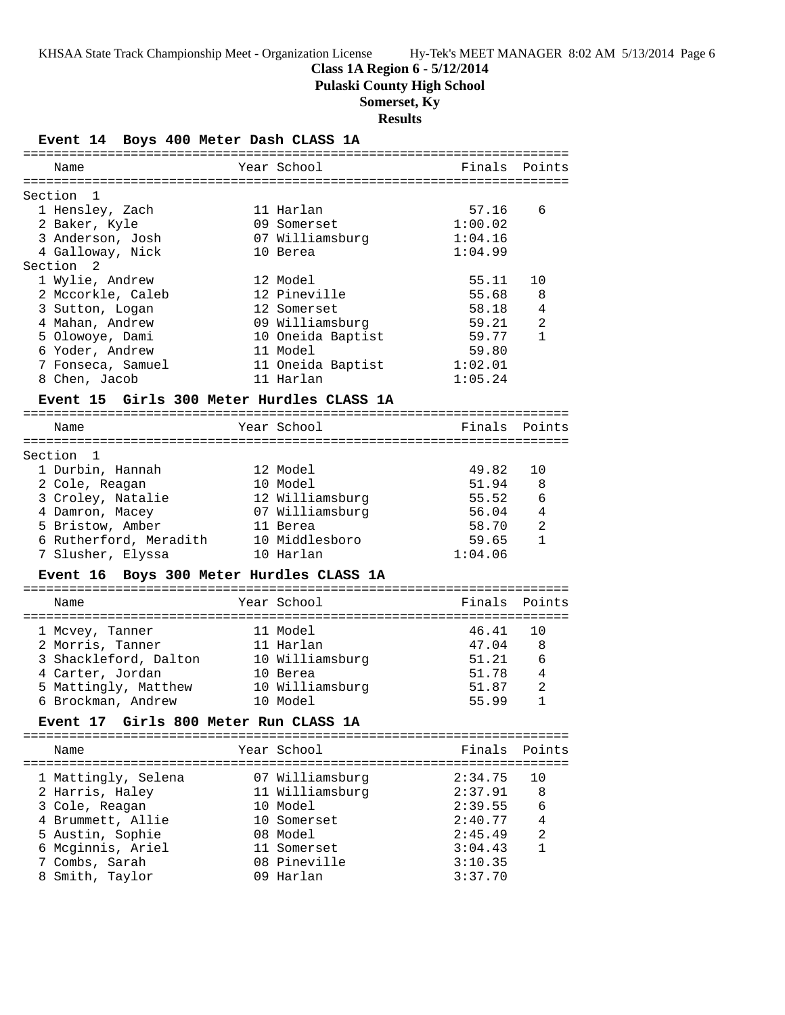**Class 1A Region 6 - 5/12/2014**

**Pulaski County High School**

## **Somerset, Ky**

**Results**

**Event 14 Boys 400 Meter Dash CLASS 1A**

| Name                                      | Year School       |                | Finals Points |
|-------------------------------------------|-------------------|----------------|---------------|
|                                           |                   |                |               |
| Section<br>1                              |                   |                |               |
| 1 Hensley, Zach                           | 11 Harlan         | 57.16          | 6             |
| 2 Baker, Kyle                             | 09 Somerset       | 1:00.02        |               |
| 3 Anderson, Josh                          | 07 Williamsburg   | 1:04.16        |               |
| 4 Galloway, Nick                          | 10 Berea          | 1:04.99        |               |
| Section 2                                 |                   |                |               |
| 1 Wylie, Andrew                           | 12 Model          | 55.11          | 10            |
| 2 Mccorkle, Caleb                         | 12 Pineville      | 55.68          | 8             |
| 3 Sutton, Logan                           | 12 Somerset       | 58.18          | 4             |
| 4 Mahan, Andrew                           | 09 Williamsburg   | 59.21          | 2             |
| 5 Olowoye, Dami                           | 10 Oneida Baptist | 59.77          | $\mathbf{1}$  |
| 6 Yoder, Andrew                           | 11 Model          | 59.80          |               |
| 7 Fonseca, Samuel                         | 11 Oneida Baptist | 1:02.01        |               |
| 8 Chen, Jacob                             | 11 Harlan         | 1:05.24        |               |
| Event 15 Girls 300 Meter Hurdles CLASS 1A |                   |                |               |
|                                           |                   |                |               |
| Name                                      | Year School       | Finals         | Points        |
|                                           |                   |                |               |
| Section 1                                 |                   |                |               |
| 1 Durbin, Hannah                          | 12 Model          | 49.82          | 10            |
| 2 Cole, Reagan                            | 10 Model          | 51.94          | 8             |
| 3 Croley, Natalie                         | 12 Williamsburg   | 55.52          | 6             |
| 4 Damron, Macey                           | 07 Williamsburg   | 56.04          | 4             |
| 5 Bristow, Amber                          | 11 Berea          | 58.70          | 2             |
| 6 Rutherford, Meradith                    | 10 Middlesboro    | 59.65          | $\mathbf{1}$  |
| 7 Slusher, Elyssa                         | 10 Harlan         | 1:04.06        |               |
|                                           |                   |                |               |
| Event 16 Boys 300 Meter Hurdles CLASS 1A  |                   |                |               |
|                                           |                   |                |               |
| Name                                      | Year School       | Finals         | Points        |
|                                           | 11 Model          | 46.41          | 10            |
| 1 Mcvey, Tanner                           |                   |                |               |
| 2 Morris, Tanner                          | 11 Harlan         | 47.04<br>51.21 | 8             |
| 3 Shackleford, Dalton                     | 10 Williamsburg   | 51.78          | 6<br>4        |
| 4 Carter, Jordan                          | 10 Berea          |                | 2             |
| 5 Mattingly, Matthew 10 Williamsburg      |                   | 51.87          | $\mathbf{1}$  |
| 6 Brockman, Andrew                        | 10 Model          | 55.99          |               |
| Event 17 Girls 800 Meter Run CLASS 1A     |                   |                |               |
|                                           |                   |                |               |
| Name                                      | Year School       | Finals         | Points        |
|                                           |                   |                |               |
| 1 Mattingly, Selena                       | 07 Williamsburg   | 2:34.75        | 10            |
| 2 Harris, Haley                           | 11 Williamsburg   | 2:37.91        | 8             |
| 3 Cole, Reagan                            | 10 Model          | 2:39.55        | 6             |
| 4 Brummett, Allie                         | 10 Somerset       | 2:40.77        | 4             |
| 5 Austin, Sophie                          | 08 Model          | 2:45.49        | 2             |
| 6 Mcginnis, Ariel                         | 11 Somerset       | 3:04.43        | 1             |
| 7 Combs, Sarah                            | 08 Pineville      | 3:10.35        |               |
| 8 Smith, Taylor                           | 09 Harlan         | 3:37.70        |               |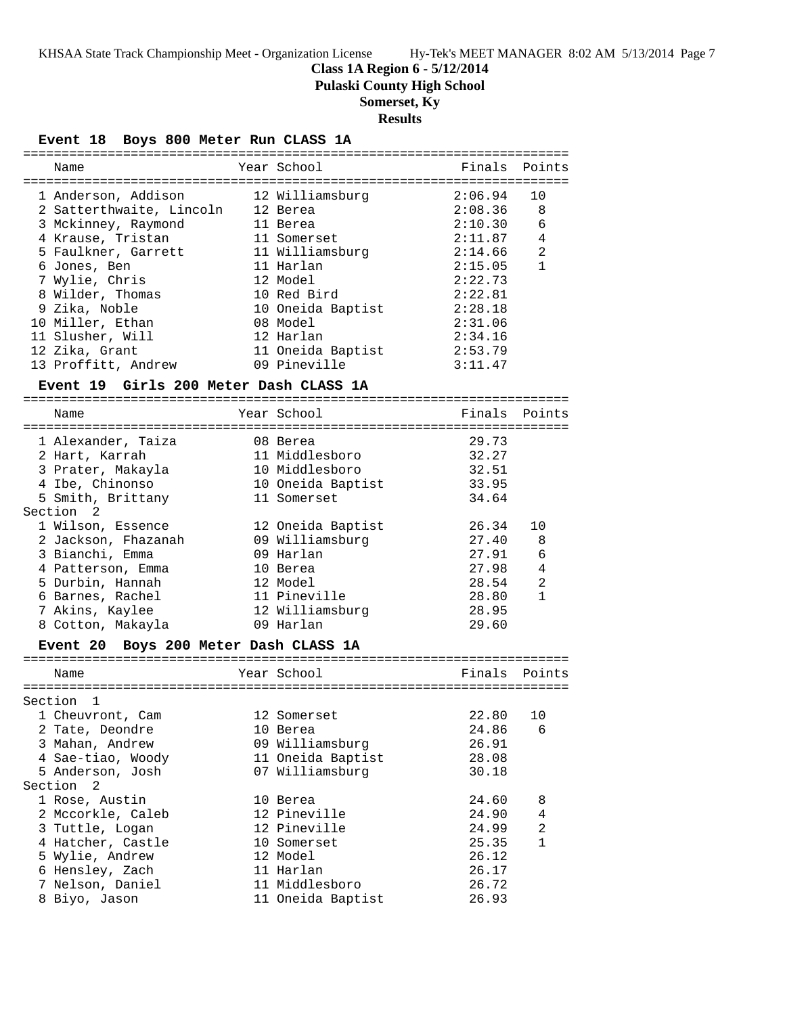**Class 1A Region 6 - 5/12/2014**

**Pulaski County High School**

## **Somerset, Ky**

**Results**

**Event 18 Boys 800 Meter Run CLASS 1A**

| Name                                   |  | Year School       | Finals Points |                |  |
|----------------------------------------|--|-------------------|---------------|----------------|--|
|                                        |  |                   |               |                |  |
| 1 Anderson, Addison                    |  | 12 Williamsburg   | 2:06.94       | 10             |  |
| 2 Satterthwaite, Lincoln               |  | 12 Berea          | 2:08.36       | -8             |  |
| 3 Mckinney, Raymond                    |  | 11 Berea          | 2:10.30       | 6              |  |
| 4 Krause, Tristan                      |  | 11 Somerset       | 2:11.87       | $\overline{4}$ |  |
| 5 Faulkner, Garrett                    |  | 11 Williamsburg   | 2:14.66       | 2              |  |
| 6 Jones, Ben                           |  | 11 Harlan         | 2:15.05       | $\mathbf{1}$   |  |
| 7 Wylie, Chris                         |  | 12 Model          | 2:22.73       |                |  |
| 8 Wilder, Thomas                       |  | 10 Red Bird       | 2:22.81       |                |  |
| 9 Zika, Noble                          |  | 10 Oneida Baptist | 2:28.18       |                |  |
| 10 Miller, Ethan                       |  | 08 Model          | 2:31.06       |                |  |
| 11 Slusher, Will                       |  | 12 Harlan         | 2:34.16       |                |  |
| 12 Zika, Grant                         |  | 11 Oneida Baptist | 2:53.79       |                |  |
| 13 Proffitt, Andrew                    |  | 09 Pineville      | 3:11.47       |                |  |
| Event 19 Girls 200 Meter Dash CLASS 1A |  |                   |               |                |  |
|                                        |  |                   |               |                |  |

### Name The Year School Team Points Points ======================================================================= 1 Alexander, Taiza 08 Berea 29.73 2 Hart, Karrah 11 Middlesboro 32.27 3 Prater, Makayla 10 Middlesboro 32.51 4 Ibe, Chinonso 10 Oneida Baptist 33.95 5 Smith, Brittany 11 Somerset 34.64 Section 2 1 Wilson, Essence 12 Oneida Baptist 26.34 10 2 Jackson, Fhazanah 09 Williamsburg 27.40 8 3 Bianchi, Emma 09 Harlan 27.91 6 4 Patterson, Emma 10 Berea 27.98 4 5 Durbin, Hannah 12 Model 28.54 2 6 Barnes, Rachel 11 Pineville 28.80 1 7 Akins, Kaylee 12 Williamsburg 28.95 8 Cotton, Makayla 09 Harlan 29.60

#### **Event 20 Boys 200 Meter Dash CLASS 1A**

| Name |                                                                                                                                                                                                                                                                                                     |  | Finals                                                                                                                                                                                                                       | Points |  |
|------|-----------------------------------------------------------------------------------------------------------------------------------------------------------------------------------------------------------------------------------------------------------------------------------------------------|--|------------------------------------------------------------------------------------------------------------------------------------------------------------------------------------------------------------------------------|--------|--|
|      |                                                                                                                                                                                                                                                                                                     |  |                                                                                                                                                                                                                              |        |  |
|      |                                                                                                                                                                                                                                                                                                     |  |                                                                                                                                                                                                                              |        |  |
|      |                                                                                                                                                                                                                                                                                                     |  |                                                                                                                                                                                                                              | 10     |  |
|      |                                                                                                                                                                                                                                                                                                     |  | 24.86                                                                                                                                                                                                                        | 6      |  |
|      |                                                                                                                                                                                                                                                                                                     |  | 26.91                                                                                                                                                                                                                        |        |  |
|      |                                                                                                                                                                                                                                                                                                     |  | 28.08                                                                                                                                                                                                                        |        |  |
|      |                                                                                                                                                                                                                                                                                                     |  | 30.18                                                                                                                                                                                                                        |        |  |
|      |                                                                                                                                                                                                                                                                                                     |  |                                                                                                                                                                                                                              |        |  |
|      |                                                                                                                                                                                                                                                                                                     |  | 24.60                                                                                                                                                                                                                        | 8      |  |
|      |                                                                                                                                                                                                                                                                                                     |  | 24.90                                                                                                                                                                                                                        | 4      |  |
|      |                                                                                                                                                                                                                                                                                                     |  | 24.99                                                                                                                                                                                                                        | 2      |  |
|      |                                                                                                                                                                                                                                                                                                     |  | 25.35                                                                                                                                                                                                                        |        |  |
|      |                                                                                                                                                                                                                                                                                                     |  | 26.12                                                                                                                                                                                                                        |        |  |
|      |                                                                                                                                                                                                                                                                                                     |  | 26.17                                                                                                                                                                                                                        |        |  |
|      |                                                                                                                                                                                                                                                                                                     |  | 26.72                                                                                                                                                                                                                        |        |  |
|      |                                                                                                                                                                                                                                                                                                     |  | 26.93                                                                                                                                                                                                                        |        |  |
|      | Section<br>$\overline{1}$<br>1 Cheuvront, Cam<br>2 Tate, Deondre<br>3 Mahan, Andrew<br>4 Sae-tiao, Woody<br>5 Anderson, Josh<br>Section 2<br>1 Rose, Austin<br>2 Mccorkle, Caleb<br>3 Tuttle, Logan<br>4 Hatcher, Castle<br>5 Wylie, Andrew<br>6 Hensley, Zach<br>7 Nelson, Daniel<br>8 Biyo, Jason |  | Year School<br>12 Somerset<br>10 Berea<br>09 Williamsburg<br>11 Oneida Baptist<br>07 Williamsburg<br>10 Berea<br>12 Pineville<br>12 Pineville<br>10 Somerset<br>12 Model<br>11 Harlan<br>11 Middlesboro<br>11 Oneida Baptist | 22.80  |  |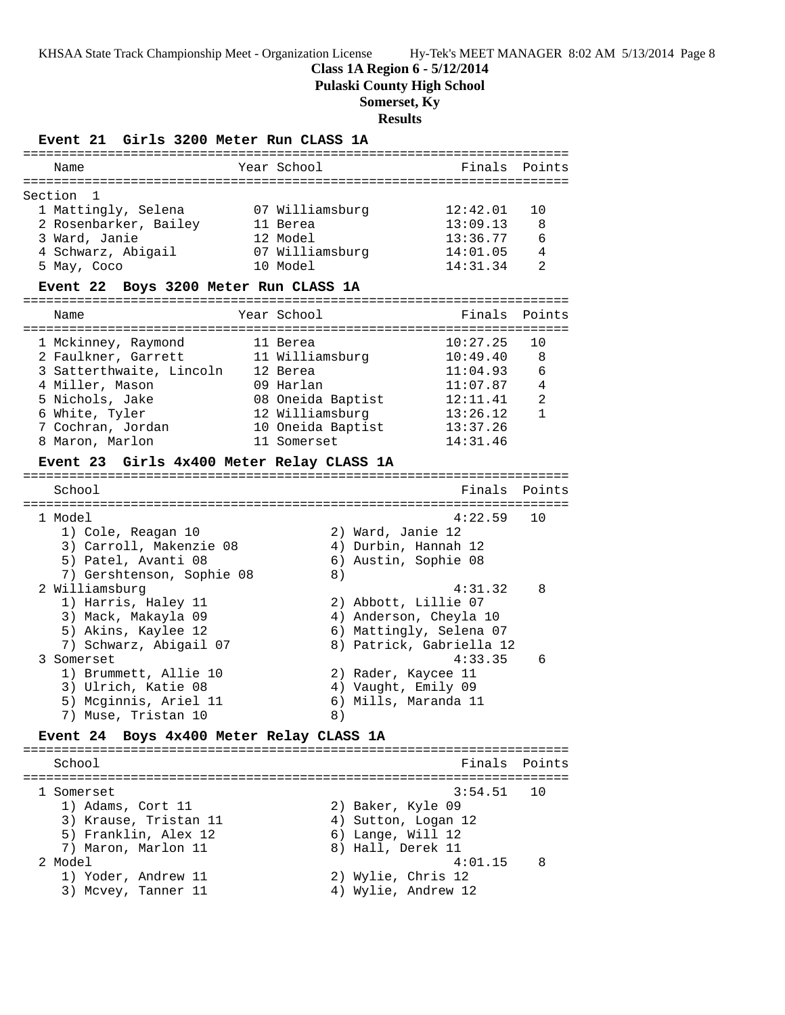**Class 1A Region 6 - 5/12/2014**

**Pulaski County High School**

## **Somerset, Ky**

**Results**

#### **Event 21 Girls 3200 Meter Run CLASS 1A**

|  | 12:42.01                                                                              | 1 O           |
|--|---------------------------------------------------------------------------------------|---------------|
|  | 13:09.13                                                                              | 8             |
|  | 13:36.77                                                                              | 6             |
|  | 14:01.05                                                                              | 4             |
|  | 14:31.34                                                                              | 2             |
|  | Year School<br>07 Williamsburg<br>11 Berea<br>12 Model<br>07 Williamsburg<br>10 Model | Finals Points |

#### **Event 22 Boys 3200 Meter Run CLASS 1A**

| Name                     | Year School       | Finals Points |                |
|--------------------------|-------------------|---------------|----------------|
| 1 Mckinney, Raymond      | 11 Berea          | 10:27.25      | 10             |
| 2 Faulkner, Garrett      | 11 Williamsburg   | 10:49.40      | 8              |
| 3 Satterthwaite, Lincoln | 12 Berea          | 11:04.93      | 6              |
| 4 Miller, Mason          | 09 Harlan         | 11:07.87      | $\overline{4}$ |
| 5 Nichols, Jake          | 08 Oneida Baptist | 12:11.41      | 2              |
| 6 White, Tyler           | 12 Williamsburg   | 13:26.12      | 1              |
| 7 Cochran, Jordan        | 10 Oneida Baptist | 13:37.26      |                |
| 8 Maron, Marlon          | 11 Somerset       | 14:31.46      |                |

#### **Event 23 Girls 4x400 Meter Relay CLASS 1A**

======================================================================= School **Finals Points** ======================================================================= 1 Model 4:22.59 10 1) Cole, Reagan 10 2) Ward, Janie 12 3) Carroll, Makenzie 08 4) Durbin, Hannah 12 5) Patel, Avanti 08 6) Austin, Sophie 08 7) Gershtenson, Sophie 08 8) 2 Williamsburg 4:31.32 8 1) Harris, Haley 11 2) Abbott, Lillie 07 3) Mack, Makayla 09 4) Anderson, Cheyla 10 5) Akins, Kaylee 12 6) Mattingly, Selena 07 7) Schwarz, Abigail 07 8) Patrick, Gabriella 12 3 Somerset 4:33.35 6 1) Brummett, Allie 10 and 2) Rader, Kaycee 11 3) Ulrich, Katie 08 4) Vaught, Emily 09 5) Mcginnis, Ariel 11 6) Mills, Maranda 11 7) Muse, Tristan 10 and 8)

#### **Event 24 Boys 4x400 Meter Relay CLASS 1A**

======================================================================= School **Finals** Points ======================================================================= 1 Somerset 3:54.51 10 1) Adams, Cort 11 2) Baker, Kyle 09 3) Krause, Tristan 11 (4) Autton, Logan 12 5) Franklin, Alex 12 (6) Lange, Will 12 7) Maron, Marlon 11 and 8) Hall, Derek 11 2 Model 4:01.15 8 1) Yoder, Andrew 11 2) Wylie, Chris 12 3) Mcvey, Tanner 11 (4) Wylie, Andrew 12